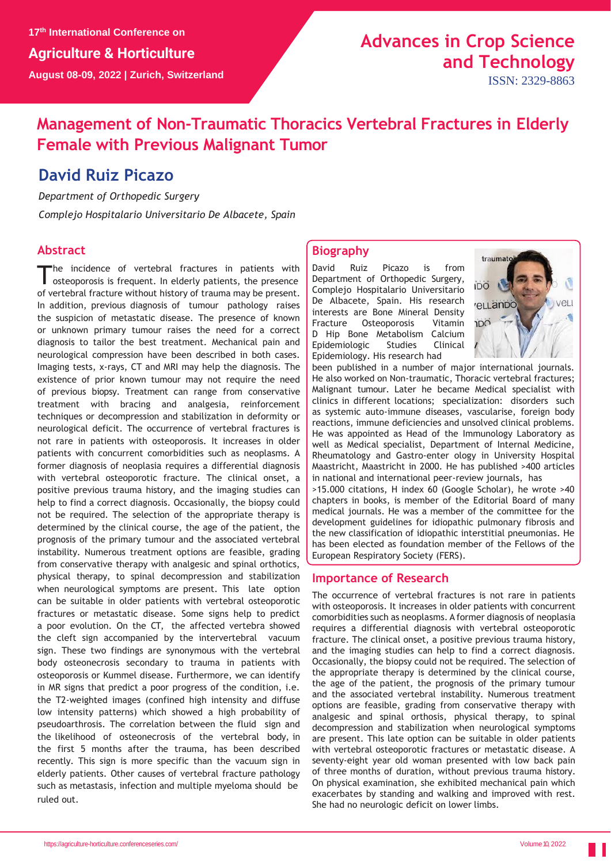# **Advances in Crop Science and Technology**

ISSN: 2329-8863

## **Management of Non-Traumatic Thoracics Vertebral Fractures in Elderly Female with Previous Malignant Tumor**

### **David Ruiz Picazo**

*Department of Orthopedic Surgery*

*Complejo Hospitalario Universitario De Albacete, Spain*

#### **Abstract**

The incidence of vertebral fractures in patients with<br>osteoporosis is frequent. In elderly patients, the presence he incidence of vertebral fractures in patients with of vertebral fracture without history of trauma may be present. In addition, previous diagnosis of tumour pathology raises the suspicion of metastatic disease. The presence of known or unknown primary tumour raises the need for a correct diagnosis to tailor the best treatment. Mechanical pain and neurological compression have been described in both cases. Imaging tests, x-rays, CT and MRI may help the diagnosis. The existence of prior known tumour may not require the need of previous biopsy. Treatment can range from conservative treatment with bracing and analgesia, reinforcement techniques or decompression and stabilization in deformity or neurological deficit. The occurrence of vertebral fractures is not rare in patients with osteoporosis. It increases in older patients with concurrent comorbidities such as neoplasms. A former diagnosis of neoplasia requires a differential diagnosis with vertebral osteoporotic fracture. The clinical onset, a positive previous trauma history, and the imaging studies can help to find a correct diagnosis. Occasionally, the biopsy could not be required. The selection of the appropriate therapy is determined by the clinical course, the age of the patient, the prognosis of the primary tumour and the associated vertebral instability. Numerous treatment options are feasible, grading from conservative therapy with analgesic and spinal orthotics, physical therapy, to spinal decompression and stabilization when neurological symptoms are present. This late option can be suitable in older patients with vertebral osteoporotic fractures or metastatic disease. Some signs help to predict a poor evolution. On the CT, the affected vertebra showed the cleft sign accompanied by the intervertebral vacuum sign. These two findings are synonymous with the vertebral body osteonecrosis secondary to trauma in patients with osteoporosis or Kummel disease. Furthermore, we can identify in MR signs that predict a poor progress of the condition, i.e. the T2-weighted images (confined high intensity and diffuse low intensity patterns) which showed a high probability of pseudoarthrosis. The correlation between the fluid sign and the likelihood of osteonecrosis of the vertebral body, in the first 5 months after the trauma, has been described recently. This sign is more specific than the vacuum sign in elderly patients. Other causes of vertebral fracture pathology such as metastasis, infection and multiple myeloma should be ruled out.

#### **Biography**

David Ruiz Picazo is from Department of Orthopedic Surgery, Complejo Hospitalario Universitario De Albacete, Spain. His research interests are Bone Mineral Density Fracture Osteoporosis Vitamin D Hip Bone Metabolism Calcium Epidemiologic Studies Clinical Epidemiology. His research had



been published in a number of major international journals. He also worked on Non-traumatic, Thoracic vertebral fractures; Malignant tumour. Later he became Medical specialist with clinics in different locations; specialization: disorders such as systemic auto-immune diseases, vascularise, foreign body reactions, immune deficiencies and unsolved clinical problems. He was appointed as Head of the Immunology Laboratory as well as Medical specialist, Department of Internal Medicine, Rheumatology and Gastro-enter ology in University Hospital Maastricht, Maastricht in 2000. He has published >400 articles in national and international peer-review journals, has >15.000 citations, H index 60 (Google Scholar), he wrote >40 chapters in books, is member of the Editorial Board of many medical journals. He was a member of the committee for the

development guidelines for idiopathic pulmonary fibrosis and the new classification of idiopathic interstitial pneumonias. He has been elected as foundation member of the Fellows of the European Respiratory Society (FERS).

#### **Importance of Research**

The occurrence of vertebral fractures is not rare in patients with osteoporosis. It increases in older patients with concurrent comorbidities such as neoplasms. A former diagnosis of neoplasia requires a differential diagnosis with vertebral osteoporotic fracture. The clinical onset, a positive previous trauma history, and the imaging studies can help to find a correct diagnosis. Occasionally, the biopsy could not be required. The selection of the appropriate therapy is determined by the clinical course, the age of the patient, the prognosis of the primary tumour and the associated vertebral instability. Numerous treatment options are feasible, grading from conservative therapy with analgesic and spinal orthosis, physical therapy, to spinal decompression and stabilization when neurological symptoms are present. This late option can be suitable in older patients with vertebral osteoporotic fractures or metastatic disease. A seventy-eight year old woman presented with low back pain of three months of duration, without previous trauma history. On physical examination, she exhibited mechanical pain which exacerbates by standing and walking and improved with rest. She had no neurologic deficit on lower limbs.